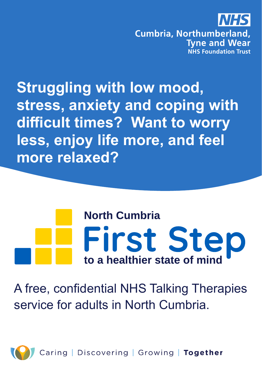

Stru<br>stre<br>اعتداد **Struggling with low mood, stress, anxiety and coping with difficult times? Want to worry less, enjoy life more, and feel more relaxed?**

# **North Cumbria** First Step

A free, confidential NHS Talking Therapies service for adults in North Cumbria.



Caring | Discovering | Growing | Together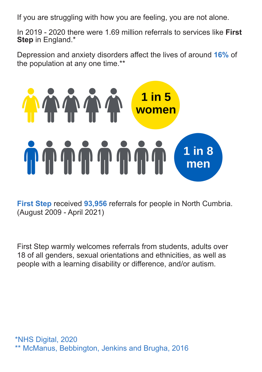If you are struggling with how you are feeling, you are not alone.

In 2019 - 2020 there were 1.69 million referrals to services like **First Step** in England.\*

Depression and anxiety disorders affect the lives of around **16%** of the population at any one time.\*\*



**First Step** received **93,956** referrals for people in North Cumbria. (August 2009 - April 2021)

First Step warmly welcomes referrals from students, adults over 18 of all genders, sexual orientations and ethnicities, as well as people with a learning disability or difference, and/or autism.

\*NHS Digital, 2020 \*\* McManus, Bebbington, Jenkins and Brugha, 2016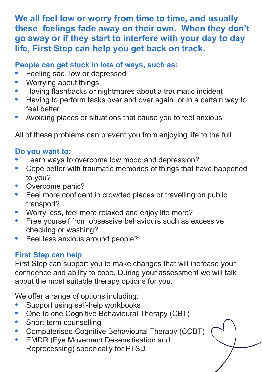**We all feel low or worry from time to time, and usually these feelings fade away on their own. When they don't go away or if they start to interfere with your day to day life, First Step can help you get back on track.**

### **People can get stuck in lots of ways, such as:**

- **•** Feeling sad, low or depressed
- **•** Worrying about things
- **•** Having flashbacks or nightmares about a traumatic incident
- **•** Having to perform tasks over and over again, or in a certain way to feel better
- **•** Avoiding places or situations that cause you to feel anxious

All of these problems can prevent you from enjoying life to the full.

### **Do you want to:**

- **•** Learn ways to overcome low mood and depression?
- **•** Cope better with traumatic memories of things that have happened to you?
- **•** Overcome panic?
- **•** Feel more confident in crowded places or travelling on public transport?
- **•** Worry less, feel more relaxed and enjoy life more?
- **•** Free yourself from obsessive behaviours such as excessive checking or washing?
- **•** Feel less anxious around people?

### **First Step can help**

First Step can support you to make changes that will increase your confidence and ability to cope. During your assessment we will talk about the most suitable therapy options for you.

We offer a range of options including:

- **•** Support using self-help workbooks
- **•** One to one Cognitive Behavioural Therapy (CBT)
- **•** Short-term counselling
- **•** Computerised Cognitive Behavioural Therapy (CCBT)
- **•** EMDR (Eye Movement Desensitisation and Reprocessing) specifically for PTSD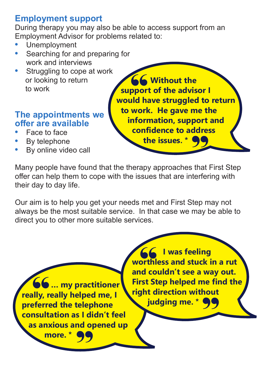# **Employment support**

During therapy you may also be able to access support from an Employment Advisor for problems related to:

- **•** Unemployment
- **•** Searching for and preparing for work and interviews
- **•** Struggling to cope at work or looking to return to work

### **The appointments we offer are available**

- **•** Face to face
- **•** By telephone
- **•** By online video call

 **Without the support of the advisor I would have struggled to return to work. He gave me the information, support and Confidence to address the issues. \*** 66 W<br>pport of<br>uld have port<br>ddrei<br>**99** 

Many people have found that the therapy approaches that First Step offer can help them to cope with the issues that are interfering with their day to day life.

Our aim is to help you get your needs met and First Step may not always be the most suitable service. In that case we may be able to direct you to other more suitable services.

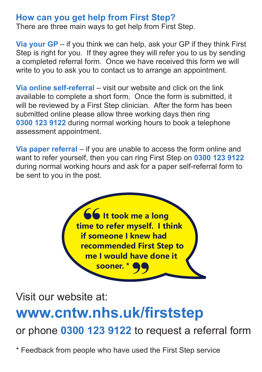### **How can you get help from First Step?**

There are three main ways to get help from First Step.

**Via your GP** – if you think we can help, ask your GP if they think First Step is right for you. If they agree they will refer you to us by sending a completed referral form. Once we have received this form we will write to you to ask you to contact us to arrange an appointment.

**Via online self-referral** – visit our website and click on the link available to complete a short form. Once the form is submitted, it will be reviewed by a First Step clinician. After the form has been submitted online please allow three working days then ring **0300 123 9122** during normal working hours to book a telephone assessment appointment.

**Via paper referral** – if you are unable to access the form online and want to refer yourself, then you can ring First Step on **0300 123 9122**  during normal working hours and ask for a paper self-referral form to be sent to you in the post.



Visit our website at:

# **www.cntw.nhs.uk/firststep**

or phone **0300 123 9122** to request a referral form

\* Feedback from people who have used the First Step service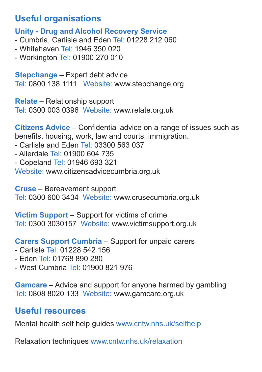# **Useful organisations**

### **Unity - Drug and Alcohol Recovery Service**

- Cumbria, Carlisle and Eden Tel: 01228 212 060

- Whitehaven Tel: 1946 350 020

- Workington Tel: 01900 270 010

**Stepchange** – Expert debt advice Tel: 0800 138 1111 Website: www.stepchange.org

**Relate** – Relationship support Tel: 0300 003 0396 Website: www.relate.org.uk

**Citizens Advice** – Confidential advice on a range of issues such as benefits, housing, work, law and courts, immigration.

- Carlisle and Eden Tel: 03300 563 037
- Allerdale Tel: 01900 604 735
- Copeland Tel: 01946 693 321

Website: www.citizensadvicecumbria.org.uk

**Cruse** – Bereavement support

Tel: 0300 600 3434 Website: www.crusecumbria.org.uk

**Victim Support** – Support for victims of crime Tel: 0300 3030157 Website: www.victimsupport.org.uk

**Carers Support Cumbria** – Support for unpaid carers

- Carlisle Tel: 01228 542 156
- Eden Tel: 01768 890 280
- West Cumbria Tel: 01900 821 976

**Gamcare** – Advice and support for anyone harmed by gambling Tel: 0808 8020 133 Website: www.gamcare.org.uk

## **Useful resources**

Mental health self help guides www.cntw.nhs.uk/selfhelp

Relaxation techniques www.cntw.nhs.uk/relaxation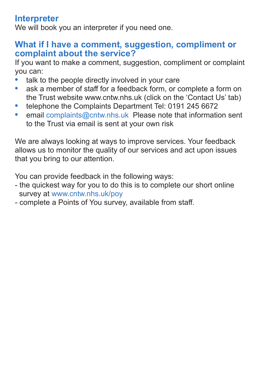# **Interpreter**

We will book you an interpreter if you need one.

### **What if I have a comment, suggestion, compliment or complaint about the service?**

If you want to make a comment, suggestion, compliment or complaint you can:

- **•** talk to the people directly involved in your care
- **•** ask a member of staff for a feedback form, or complete a form on the Trust website www.cntw.nhs.uk (click on the 'Contact Us' tab)
- **•** telephone the Complaints Department Tel: 0191 245 6672
- **•** email complaints@cntw.nhs.uk Please note that information sent to the Trust via email is sent at your own risk

We are always looking at ways to improve services. Your feedback allows us to monitor the quality of our services and act upon issues that you bring to our attention.

You can provide feedback in the following ways:

- the quickest way for you to do this is to complete our short online survey at www.cntw.nhs.uk/poy
- complete a Points of You survey, available from staff.